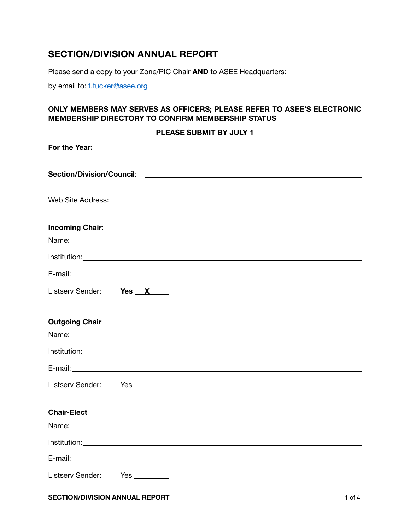## **SECTION/DIVISION ANNUAL REPORT**

Please send a copy to your Zone/PIC Chair **AND** to ASEE Headquarters:

by email to: [t.tucker@asee.org](mailto:t.tucker@asee.org)

## **ONLY MEMBERS MAY SERVES AS OFFICERS; PLEASE REFER TO ASEE'S ELECTRONIC MEMBERSHIP DIRECTORY TO CONFIRM MEMBERSHIP STATUS**

|                               | PLEASE SUBMIT BY JULY 1 |
|-------------------------------|-------------------------|
|                               |                         |
|                               |                         |
|                               |                         |
| <b>Incoming Chair:</b>        |                         |
|                               |                         |
|                               |                         |
| Listserv Sender: Yes X        |                         |
| <b>Outgoing Chair</b>         |                         |
|                               |                         |
|                               |                         |
| Listserv Sender: Yes ________ |                         |
| <b>Chair-Elect</b>            |                         |
|                               |                         |
|                               |                         |
|                               |                         |
| Listserv Sender:              | Yes                     |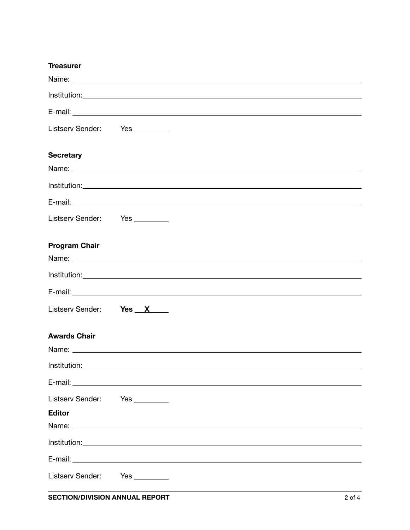| <b>Treasurer</b>              |                                                                                                                                                                                                                                      |
|-------------------------------|--------------------------------------------------------------------------------------------------------------------------------------------------------------------------------------------------------------------------------------|
|                               |                                                                                                                                                                                                                                      |
|                               |                                                                                                                                                                                                                                      |
|                               |                                                                                                                                                                                                                                      |
| Listserv Sender: Yes ________ |                                                                                                                                                                                                                                      |
| <b>Secretary</b>              |                                                                                                                                                                                                                                      |
|                               |                                                                                                                                                                                                                                      |
|                               |                                                                                                                                                                                                                                      |
|                               |                                                                                                                                                                                                                                      |
| Listserv Sender: Yes ________ |                                                                                                                                                                                                                                      |
| <b>Program Chair</b>          |                                                                                                                                                                                                                                      |
|                               |                                                                                                                                                                                                                                      |
|                               |                                                                                                                                                                                                                                      |
| Listserv Sender: Yes X        |                                                                                                                                                                                                                                      |
| <b>Awards Chair</b>           |                                                                                                                                                                                                                                      |
|                               | Name: <u>the contract of the contract of the contract of the contract of the contract of the contract of the contract of the contract of the contract of the contract of the contract of the contract of the contract of the con</u> |
|                               | Institution: <u>www.community.community.community.com</u>                                                                                                                                                                            |
|                               |                                                                                                                                                                                                                                      |
| Listserv Sender: Yes ________ |                                                                                                                                                                                                                                      |
| <b>Editor</b>                 |                                                                                                                                                                                                                                      |
|                               |                                                                                                                                                                                                                                      |
|                               |                                                                                                                                                                                                                                      |
|                               |                                                                                                                                                                                                                                      |
| Listserv Sender:              |                                                                                                                                                                                                                                      |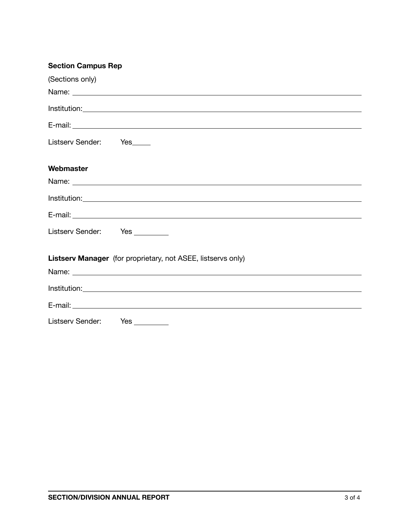| <b>Section Campus Rep</b>                                    |
|--------------------------------------------------------------|
| (Sections only)                                              |
|                                                              |
|                                                              |
|                                                              |
| Listserv Sender: Yes_____                                    |
| Webmaster                                                    |
|                                                              |
|                                                              |
|                                                              |
| Listserv Sender: Yes ________                                |
| Listserv Manager (for proprietary, not ASEE, listservs only) |
|                                                              |
|                                                              |
|                                                              |
| Listserv Sender: Yes ________                                |